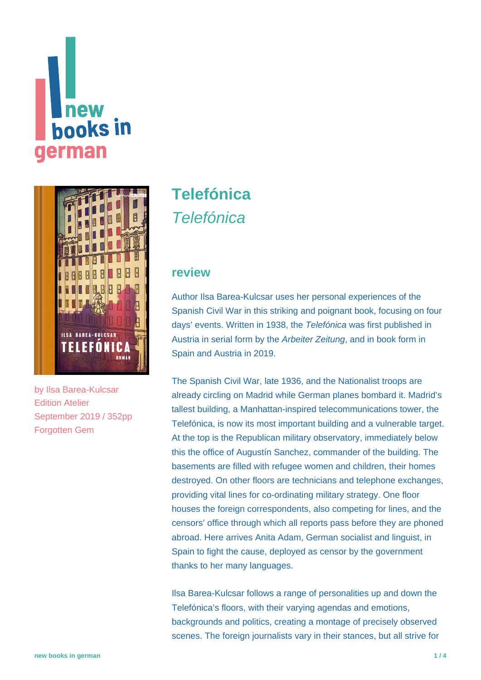



by [Ilsa Barea-Kulcsar](https://www.new-books-in-german.com/recommendations/?searchInput=Ilsa%20Barea-Kulcsar) Edition Atelier September 2019 / 352pp Forgotten Gem

# **[Telefónica](https://www.new-books-in-german.com/recommendations/telefonica/)** Telefónica

#### **review**

Author Ilsa Barea-Kulcsar uses her personal experiences of the Spanish Civil War in this striking and poignant book, focusing on four days' events. Written in 1938, the Telefónica was first published in Austria in serial form by the Arbeiter Zeitung, and in book form in Spain and Austria in 2019.

The Spanish Civil War, late 1936, and the Nationalist troops are already circling on Madrid while German planes bombard it. Madrid's tallest building, a Manhattan-inspired telecommunications tower, the Telefónica, is now its most important building and a vulnerable target. At the top is the Republican military observatory, immediately below this the office of Augustín Sanchez, commander of the building. The basements are filled with refugee women and children, their homes destroyed. On other floors are technicians and telephone exchanges, providing vital lines for co-ordinating military strategy. One floor houses the foreign correspondents, also competing for lines, and the censors' office through which all reports pass before they are phoned abroad. Here arrives Anita Adam, German socialist and linguist, in Spain to fight the cause, deployed as censor by the government thanks to her many languages.

Ilsa Barea-Kulcsar follows a range of personalities up and down the Telefónica's floors, with their varying agendas and emotions, backgrounds and politics, creating a montage of precisely observed scenes. The foreign journalists vary in their stances, but all strive for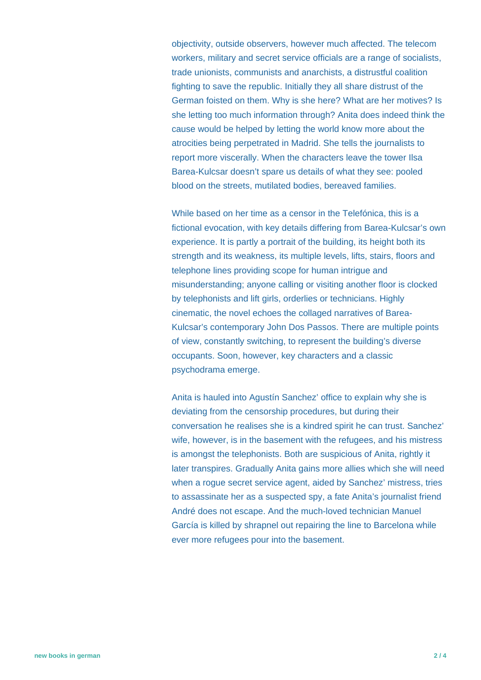objectivity, outside observers, however much affected. The telecom workers, military and secret service officials are a range of socialists, trade unionists, communists and anarchists, a distrustful coalition fighting to save the republic. Initially they all share distrust of the German foisted on them. Why is she here? What are her motives? Is she letting too much information through? Anita does indeed think the cause would be helped by letting the world know more about the atrocities being perpetrated in Madrid. She tells the journalists to report more viscerally. When the characters leave the tower Ilsa Barea-Kulcsar doesn't spare us details of what they see: pooled blood on the streets, mutilated bodies, bereaved families.

While based on her time as a censor in the Telefónica, this is a fictional evocation, with key details differing from Barea-Kulcsar's own experience. It is partly a portrait of the building, its height both its strength and its weakness, its multiple levels, lifts, stairs, floors and telephone lines providing scope for human intrigue and misunderstanding; anyone calling or visiting another floor is clocked by telephonists and lift girls, orderlies or technicians. Highly cinematic, the novel echoes the collaged narratives of Barea-Kulcsar's contemporary John Dos Passos. There are multiple points of view, constantly switching, to represent the building's diverse occupants. Soon, however, key characters and a classic psychodrama emerge.

Anita is hauled into Agustín Sanchez' office to explain why she is deviating from the censorship procedures, but during their conversation he realises she is a kindred spirit he can trust. Sanchez' wife, however, is in the basement with the refugees, and his mistress is amongst the telephonists. Both are suspicious of Anita, rightly it later transpires. Gradually Anita gains more allies which she will need when a roque secret service agent, aided by Sanchez' mistress, tries to assassinate her as a suspected spy, a fate Anita's journalist friend André does not escape. And the much-loved technician Manuel García is killed by shrapnel out repairing the line to Barcelona while ever more refugees pour into the basement.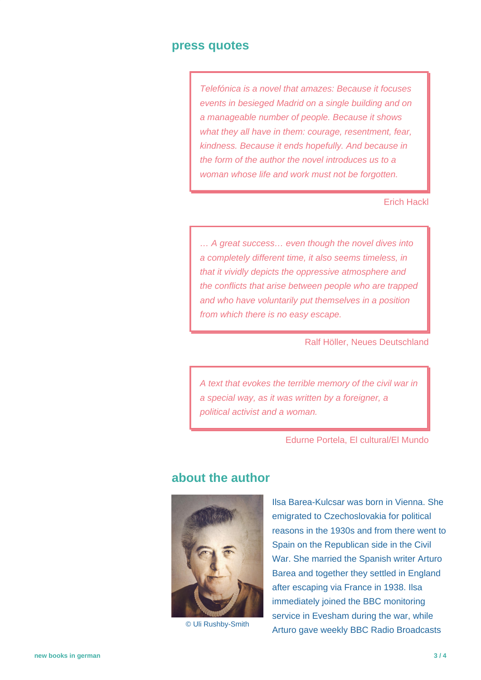#### **press quotes**

Telefónica is a novel that amazes: Because it focuses events in besieged Madrid on a single building and on a manageable number of people. Because it shows what they all have in them: courage, resentment, fear, kindness. Because it ends hopefully. And because in the form of the author the novel introduces us to a woman whose life and work must not be forgotten.

Erich Hackl

… A great success… even though the novel dives into a completely different time, it also seems timeless, in that it vividly depicts the oppressive atmosphere and the conflicts that arise between people who are trapped and who have voluntarily put themselves in a position from which there is no easy escape.

Ralf Höller, Neues Deutschland

A text that evokes the terrible memory of the civil war in a special way, as it was written by a foreigner, a political activist and a woman.

Edurne Portela, El cultural/El Mundo

### **about the author**



© Uli Rushby-Smith

Ilsa Barea-Kulcsar was born in Vienna. She emigrated to Czechoslovakia for political reasons in the 1930s and from there went to Spain on the Republican side in the Civil War. She married the Spanish writer Arturo Barea and together they settled in England after escaping via France in 1938. Ilsa immediately joined the BBC monitoring service in Evesham during the war, while Arturo gave weekly BBC Radio Broadcasts